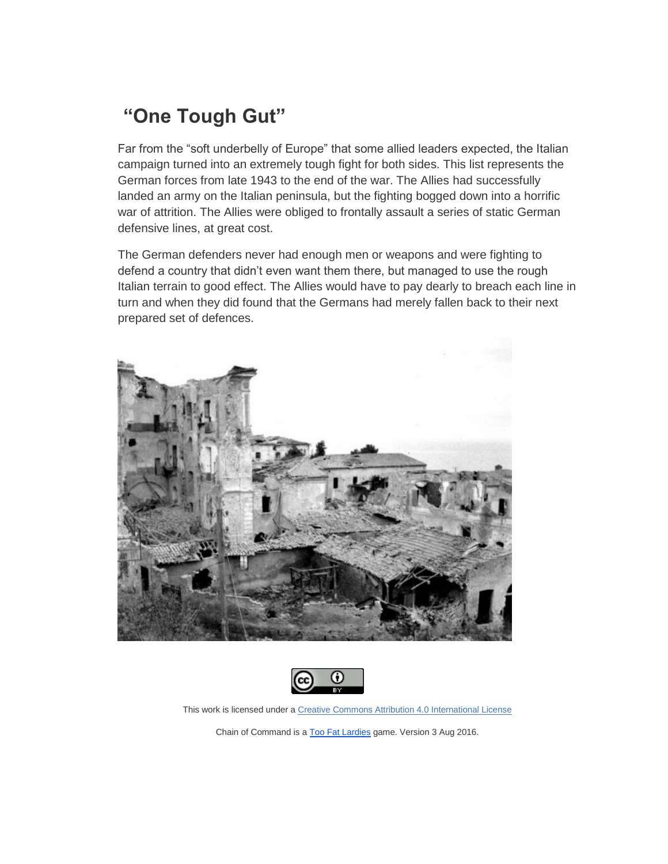## **"One Tough Gut"**

Far from the "soft underbelly of Europe" that some allied leaders expected, the Italian campaign turned into an extremely tough fight for both sides. This list represents the German forces from late 1943 to the end of the war. The Allies had successfully landed an army on the Italian peninsula, but the fighting bogged down into a horrific war of attrition. The Allies were obliged to frontally assault a series of static German defensive lines, at great cost.

The German defenders never had enough men or weapons and were fighting to defend a country that didn't even want them there, but managed to use the rough Italian terrain to good effect. The Allies would have to pay dearly to breach each line in turn and when they did found that the Germans had merely fallen back to their next prepared set of defences.





This work is licensed under a [Creative Commons Attribution 4.0 International License](http://creativecommons.org/licenses/by/4.0/)

Chain of Command is a [Too Fat Lardies](http://toofatlardies.co.uk/) game. Version 3 Aug 2016.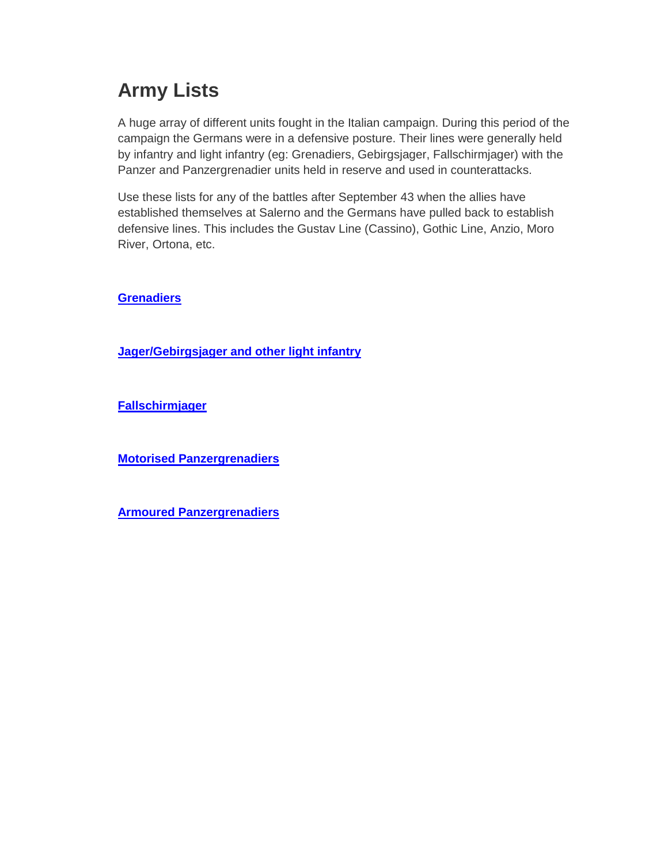# **Army Lists**

A huge array of different units fought in the Italian campaign. During this period of the campaign the Germans were in a defensive posture. Their lines were generally held by infantry and light infantry (eg: Grenadiers, Gebirgsjager, Fallschirmjager) with the Panzer and Panzergrenadier units held in reserve and used in counterattacks.

Use these lists for any of the battles after September 43 when the allies have established themselves at Salerno and the Germans have pulled back to establish defensive lines. This includes the Gustav Line (Cassino), Gothic Line, Anzio, Moro River, Ortona, etc.

**[Grenadiers](http://tinyhordes.com/wp-content/uploads/2016/08/Grenadiers-One-Tough-Gut.pdf)**

**[Jager/Gebirgsjager and other light infantry](http://tinyhordes.com/wp-content/uploads/2016/08/Jagers-One-Tough-Gut.pdf)**

**[Fallschirmjager](http://tinyhordes.com/wp-content/uploads/2016/08/Fallschirmjager-One-Tough-Gut.pdf)**

**[Motorised Panzergrenadiers](http://tinyhordes.com/wp-content/uploads/2017/10/Motorised-PzGrens-One-Tough-Gut.pdf)**

**[Armoured Panzergrenadiers](http://tinyhordes.com/wp-content/uploads/2017/10/Armoured-PzGrens-One-Tough-Gut.pdf)**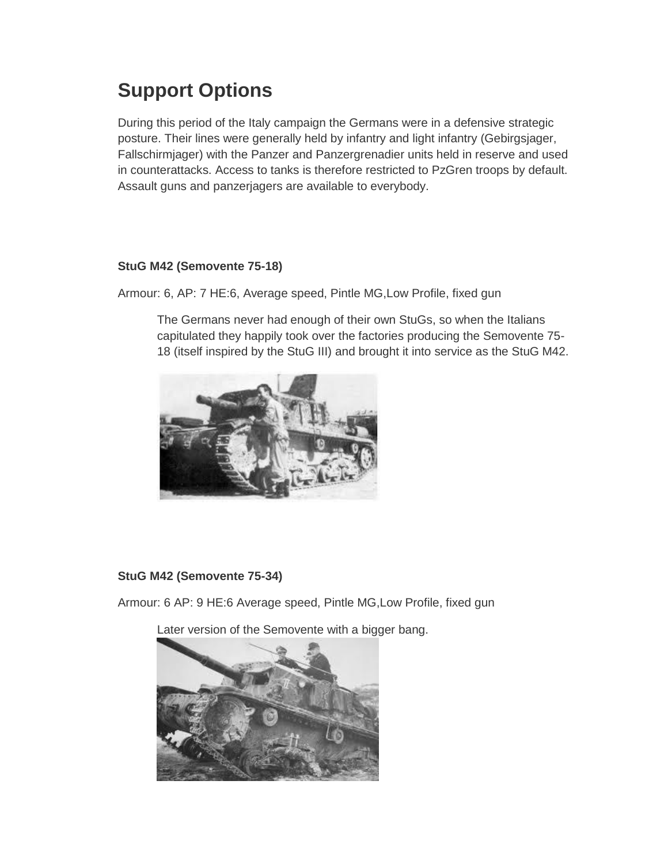# **Support Options**

During this period of the Italy campaign the Germans were in a defensive strategic posture. Their lines were generally held by infantry and light infantry (Gebirgsjager, Fallschirmjager) with the Panzer and Panzergrenadier units held in reserve and used in counterattacks. Access to tanks is therefore restricted to PzGren troops by default. Assault guns and panzerjagers are available to everybody.

### **StuG M42 (Semovente 75-18)**

Armour: 6, AP: 7 HE:6, Average speed, Pintle MG,Low Profile, fixed gun

The Germans never had enough of their own StuGs, so when the Italians capitulated they happily took over the factories producing the Semovente 75- 18 (itself inspired by the StuG III) and brought it into service as the StuG M42.



### **StuG M42 (Semovente 75-34)**

Armour: 6 AP: 9 HE:6 Average speed, Pintle MG,Low Profile, fixed gun

Later version of the Semovente with a bigger bang.

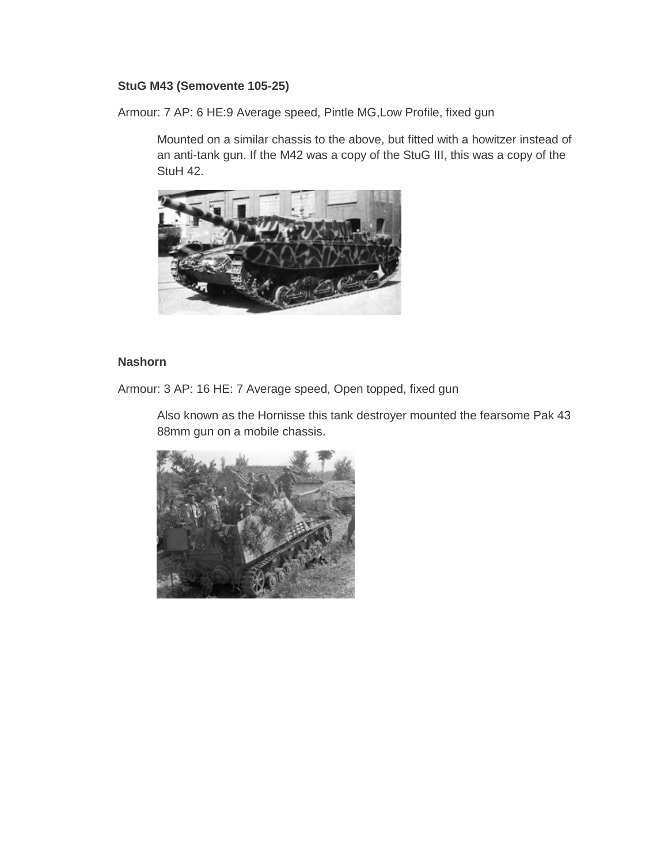#### **StuG M43 (Semovente 105-25)**

Armour: 7 AP: 6 HE:9 Average speed, Pintle MG,Low Profile, fixed gun

Mounted on a similar chassis to the above, but fitted with a howitzer instead of an anti-tank gun. If the M42 was a copy of the StuG III, this was a copy of the StuH 42.



#### **Nashorn**

Armour: 3 AP: 16 HE: 7 Average speed, Open topped, fixed gun

Also known as the Hornisse this tank destroyer mounted the fearsome Pak 43 88mm gun on a mobile chassis.

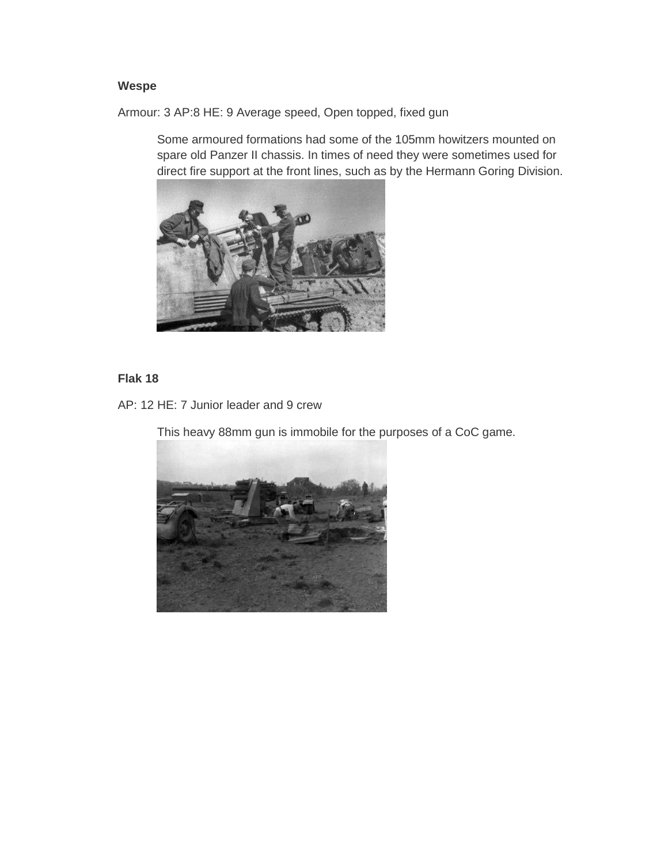#### **Wespe**

Armour: 3 AP:8 HE: 9 Average speed, Open topped, fixed gun

Some armoured formations had some of the 105mm howitzers mounted on spare old Panzer II chassis. In times of need they were sometimes used for direct fire support at the front lines, such as by the Hermann Goring Division.



### **Flak 18**

AP: 12 HE: 7 Junior leader and 9 crew

This heavy 88mm gun is immobile for the purposes of a CoC game.

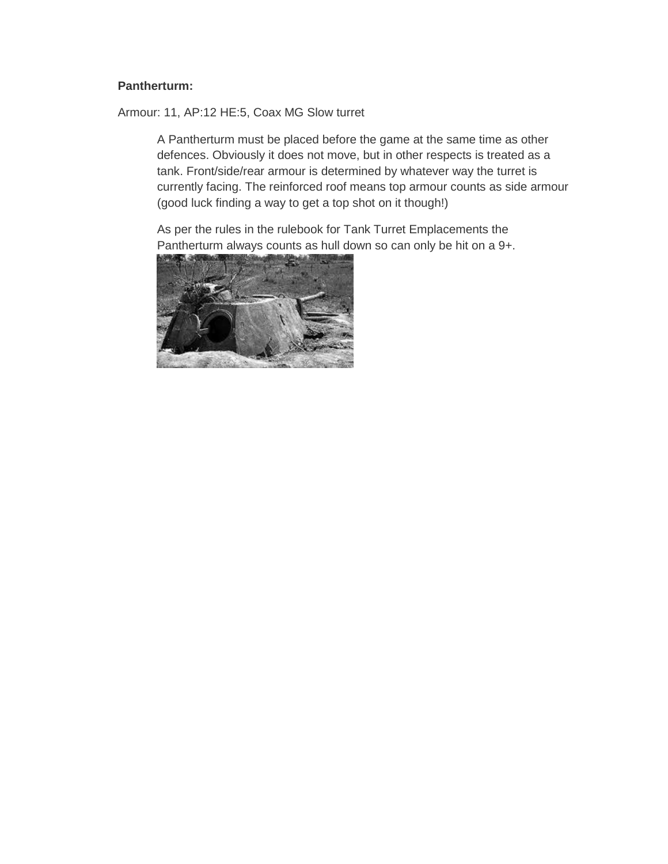#### **Pantherturm:**

Armour: 11, AP:12 HE:5, Coax MG Slow turret

A Pantherturm must be placed before the game at the same time as other defences. Obviously it does not move, but in other respects is treated as a tank. Front/side/rear armour is determined by whatever way the turret is currently facing. The reinforced roof means top armour counts as side armour (good luck finding a way to get a top shot on it though!)

As per the rules in the rulebook for Tank Turret Emplacements the Pantherturm always counts as hull down so can only be hit on a 9+.